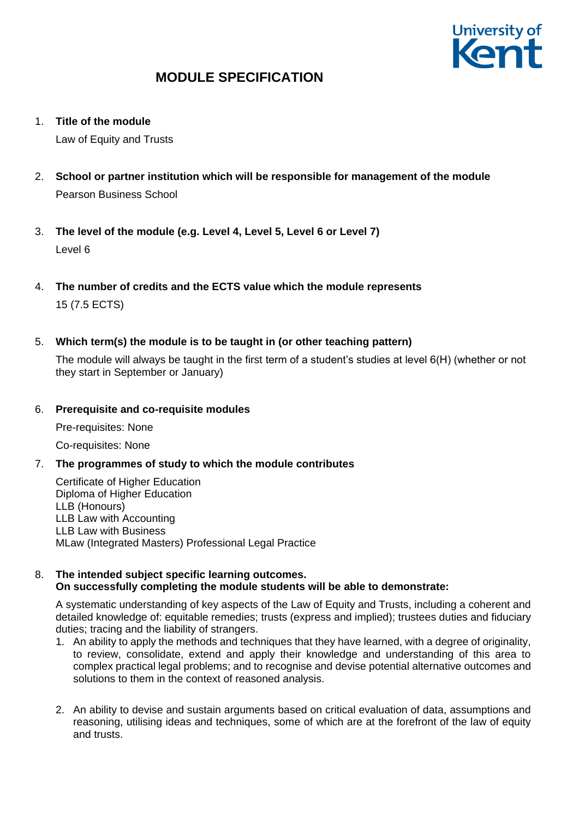

1. **Title of the module**

Law of Equity and Trusts

- 2. **School or partner institution which will be responsible for management of the module** Pearson Business School
- 3. **The level of the module (e.g. Level 4, Level 5, Level 6 or Level 7)** Level 6
- 4. **The number of credits and the ECTS value which the module represents**  15 (7.5 ECTS)
- 5. **Which term(s) the module is to be taught in (or other teaching pattern)**

The module will always be taught in the first term of a student's studies at level 6(H) (whether or not they start in September or January)

### 6. **Prerequisite and co-requisite modules**

Pre-requisites: None

Co-requisites: None

7. **The programmes of study to which the module contributes**

Certificate of Higher Education Diploma of Higher Education LLB (Honours) LLB Law with Accounting LLB Law with Business MLaw (Integrated Masters) Professional Legal Practice

#### 8. **The intended subject specific learning outcomes. On successfully completing the module students will be able to demonstrate:**

A systematic understanding of key aspects of the Law of Equity and Trusts, including a coherent and detailed knowledge of: equitable remedies; trusts (express and implied); trustees duties and fiduciary duties; tracing and the liability of strangers.

- 1. An ability to apply the methods and techniques that they have learned, with a degree of originality, to review, consolidate, extend and apply their knowledge and understanding of this area to complex practical legal problems; and to recognise and devise potential alternative outcomes and solutions to them in the context of reasoned analysis.
- 2. An ability to devise and sustain arguments based on critical evaluation of data, assumptions and reasoning, utilising ideas and techniques, some of which are at the forefront of the law of equity and trusts.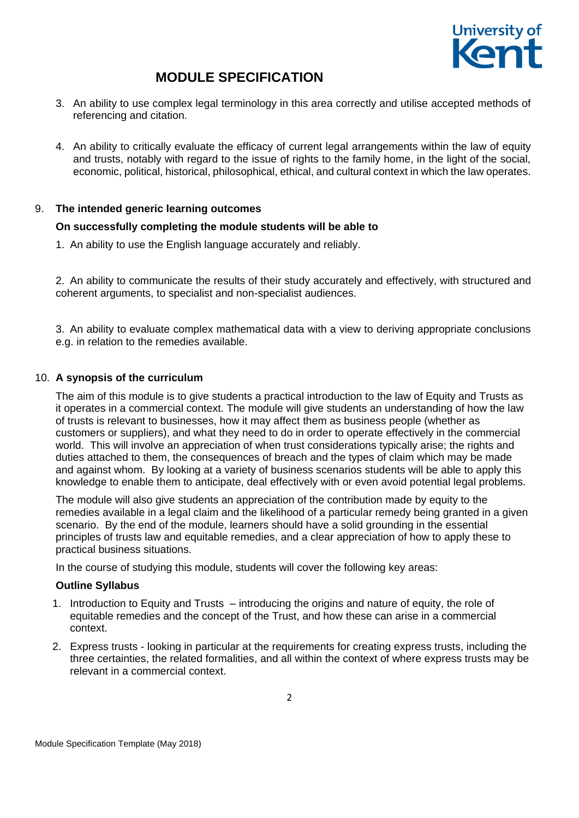

- 3. An ability to use complex legal terminology in this area correctly and utilise accepted methods of referencing and citation.
- 4. An ability to critically evaluate the efficacy of current legal arrangements within the law of equity and trusts, notably with regard to the issue of rights to the family home, in the light of the social, economic, political, historical, philosophical, ethical, and cultural context in which the law operates.

## 9. **The intended generic learning outcomes**

### **On successfully completing the module students will be able to**

1. An ability to use the English language accurately and reliably.

2. An ability to communicate the results of their study accurately and effectively, with structured and coherent arguments, to specialist and non-specialist audiences.

3. An ability to evaluate complex mathematical data with a view to deriving appropriate conclusions e.g. in relation to the remedies available.

### 10. **A synopsis of the curriculum**

The aim of this module is to give students a practical introduction to the law of Equity and Trusts as it operates in a commercial context. The module will give students an understanding of how the law of trusts is relevant to businesses, how it may affect them as business people (whether as customers or suppliers), and what they need to do in order to operate effectively in the commercial world. This will involve an appreciation of when trust considerations typically arise; the rights and duties attached to them, the consequences of breach and the types of claim which may be made and against whom. By looking at a variety of business scenarios students will be able to apply this knowledge to enable them to anticipate, deal effectively with or even avoid potential legal problems.

The module will also give students an appreciation of the contribution made by equity to the remedies available in a legal claim and the likelihood of a particular remedy being granted in a given scenario. By the end of the module, learners should have a solid grounding in the essential principles of trusts law and equitable remedies, and a clear appreciation of how to apply these to practical business situations.

In the course of studying this module, students will cover the following key areas:

#### **Outline Syllabus**

- 1. Introduction to Equity and Trusts introducing the origins and nature of equity, the role of equitable remedies and the concept of the Trust, and how these can arise in a commercial context.
- 2. Express trusts looking in particular at the requirements for creating express trusts, including the three certainties, the related formalities, and all within the context of where express trusts may be relevant in a commercial context.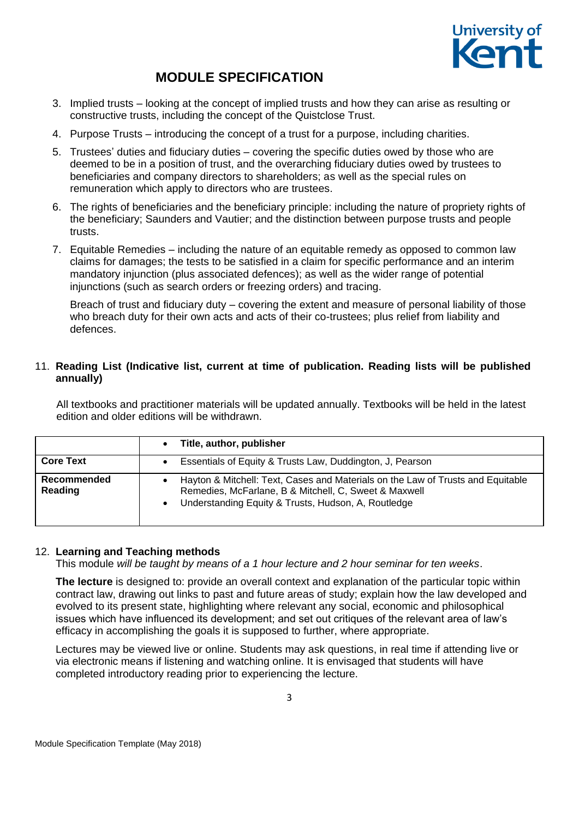

- 3. Implied trusts looking at the concept of implied trusts and how they can arise as resulting or constructive trusts, including the concept of the Quistclose Trust.
- 4. Purpose Trusts introducing the concept of a trust for a purpose, including charities.
- 5. Trustees' duties and fiduciary duties covering the specific duties owed by those who are deemed to be in a position of trust, and the overarching fiduciary duties owed by trustees to beneficiaries and company directors to shareholders; as well as the special rules on remuneration which apply to directors who are trustees.
- 6. The rights of beneficiaries and the beneficiary principle: including the nature of propriety rights of the beneficiary; Saunders and Vautier; and the distinction between purpose trusts and people trusts.
- 7. Equitable Remedies including the nature of an equitable remedy as opposed to common law claims for damages; the tests to be satisfied in a claim for specific performance and an interim mandatory injunction (plus associated defences); as well as the wider range of potential injunctions (such as search orders or freezing orders) and tracing.

Breach of trust and fiduciary duty – covering the extent and measure of personal liability of those who breach duty for their own acts and acts of their co-trustees; plus relief from liability and defences.

## 11. **Reading List (Indicative list, current at time of publication. Reading lists will be published annually)**

All textbooks and practitioner materials will be updated annually. Textbooks will be held in the latest edition and older editions will be withdrawn.

|                        | Title, author, publisher                                                                                                                                                                        |
|------------------------|-------------------------------------------------------------------------------------------------------------------------------------------------------------------------------------------------|
| <b>Core Text</b>       | Essentials of Equity & Trusts Law, Duddington, J, Pearson                                                                                                                                       |
| Recommended<br>Reading | Hayton & Mitchell: Text, Cases and Materials on the Law of Trusts and Equitable<br>Remedies, McFarlane, B & Mitchell, C, Sweet & Maxwell<br>Understanding Equity & Trusts, Hudson, A, Routledge |

## 12. **Learning and Teaching methods**

This module *will be taught by means of a 1 hour lecture and 2 hour seminar for ten weeks*.

**The lecture** is designed to: provide an overall context and explanation of the particular topic within contract law, drawing out links to past and future areas of study; explain how the law developed and evolved to its present state, highlighting where relevant any social, economic and philosophical issues which have influenced its development; and set out critiques of the relevant area of law's efficacy in accomplishing the goals it is supposed to further, where appropriate.

Lectures may be viewed live or online. Students may ask questions, in real time if attending live or via electronic means if listening and watching online. It is envisaged that students will have completed introductory reading prior to experiencing the lecture.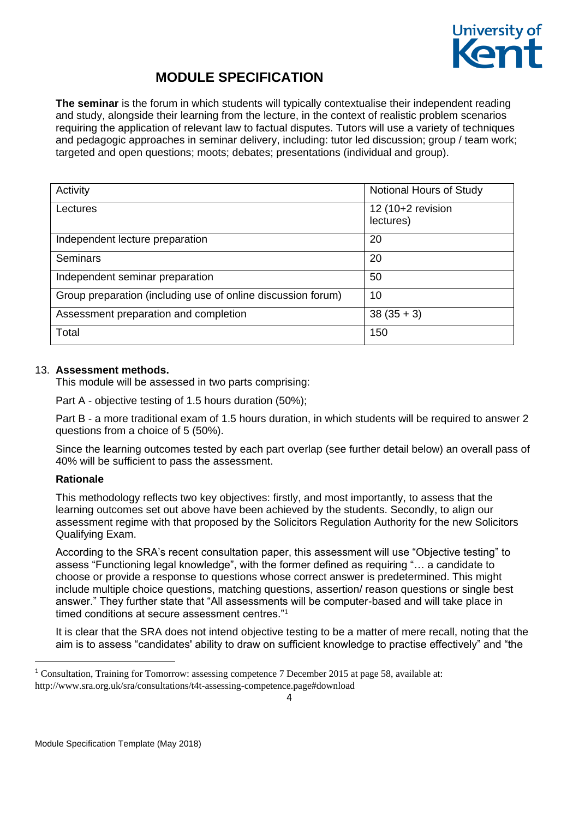

**The seminar** is the forum in which students will typically contextualise their independent reading and study, alongside their learning from the lecture, in the context of realistic problem scenarios requiring the application of relevant law to factual disputes. Tutors will use a variety of techniques and pedagogic approaches in seminar delivery, including: tutor led discussion; group / team work; targeted and open questions; moots; debates; presentations (individual and group).

| Activity                                                     | Notional Hours of Study        |
|--------------------------------------------------------------|--------------------------------|
| Lectures                                                     | 12 (10+2 revision<br>lectures) |
| Independent lecture preparation                              | 20                             |
| <b>Seminars</b>                                              | 20                             |
| Independent seminar preparation                              | 50                             |
| Group preparation (including use of online discussion forum) | 10                             |
| Assessment preparation and completion                        | $38(35+3)$                     |
| Total                                                        | 150                            |

## 13. **Assessment methods.**

This module will be assessed in two parts comprising:

Part A - objective testing of 1.5 hours duration (50%);

Part B - a more traditional exam of 1.5 hours duration, in which students will be required to answer 2 questions from a choice of 5 (50%).

Since the learning outcomes tested by each part overlap (see further detail below) an overall pass of 40% will be sufficient to pass the assessment.

## **Rationale**

1

This methodology reflects two key objectives: firstly, and most importantly, to assess that the learning outcomes set out above have been achieved by the students. Secondly, to align our assessment regime with that proposed by the Solicitors Regulation Authority for the new Solicitors Qualifying Exam.

According to the SRA's recent consultation paper, this assessment will use "Objective testing" to assess "Functioning legal knowledge", with the former defined as requiring "… a candidate to choose or provide a response to questions whose correct answer is predetermined. This might include multiple choice questions, matching questions, assertion/ reason questions or single best answer." They further state that "All assessments will be computer-based and will take place in timed conditions at secure assessment centres."<sup>1</sup>

It is clear that the SRA does not intend objective testing to be a matter of mere recall, noting that the aim is to assess "candidates' ability to draw on sufficient knowledge to practise effectively" and "the

<sup>1</sup> Consultation, Training for Tomorrow: assessing competence 7 December 2015 at page 58, available at: http://www.sra.org.uk/sra/consultations/t4t-assessing-competence.page#download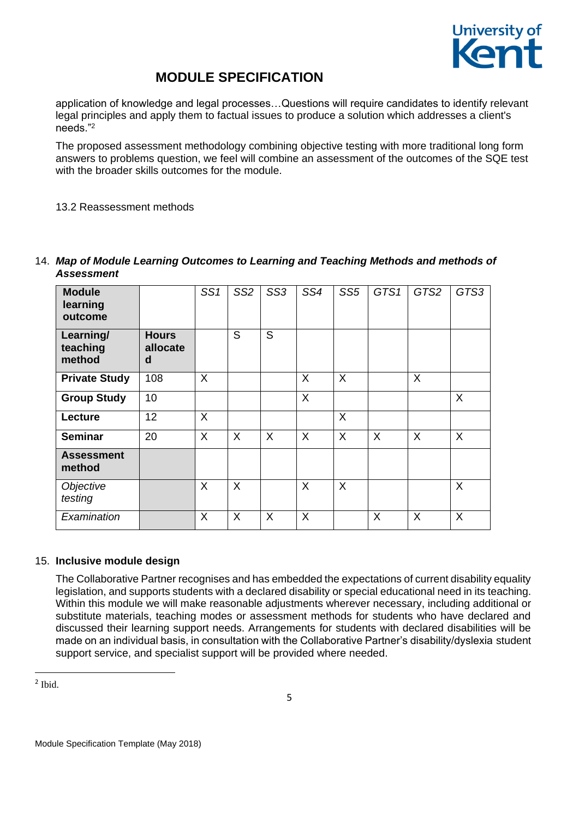

application of knowledge and legal processes…Questions will require candidates to identify relevant legal principles and apply them to factual issues to produce a solution which addresses a client's needs."<sup>2</sup>

The proposed assessment methodology combining objective testing with more traditional long form answers to problems question, we feel will combine an assessment of the outcomes of the SQE test with the broader skills outcomes for the module.

13.2 Reassessment methods

| <b>Module</b><br>learning<br>outcome |                               | SS <sub>1</sub> | SS <sub>2</sub> | SS <sub>3</sub> | SS4     | SS <sub>5</sub> | GTS1    | GTS2    | GTS3    |
|--------------------------------------|-------------------------------|-----------------|-----------------|-----------------|---------|-----------------|---------|---------|---------|
| Learning/<br>teaching<br>method      | <b>Hours</b><br>allocate<br>d |                 | S               | S               |         |                 |         |         |         |
| <b>Private Study</b>                 | 108                           | X               |                 |                 | $\sf X$ | X               |         | X       |         |
| <b>Group Study</b>                   | 10                            |                 |                 |                 | $\sf X$ |                 |         |         | X       |
| Lecture                              | 12                            | X               |                 |                 |         | X               |         |         |         |
| <b>Seminar</b>                       | 20                            | X               | $\sf X$         | $\sf X$         | $\sf X$ | X               | $\sf X$ | $\sf X$ | $\sf X$ |
| <b>Assessment</b><br>method          |                               |                 |                 |                 |         |                 |         |         |         |
| Objective<br>testing                 |                               | X               | X               |                 | X       | X               |         |         | $\sf X$ |
| Examination                          |                               | X               | X               | $\sf X$         | X       |                 | X       | $\sf X$ | X       |

14. *Map of Module Learning Outcomes to Learning and Teaching Methods and methods of Assessment* 

## 15. **Inclusive module design**

The Collaborative Partner recognises and has embedded the expectations of current disability equality legislation, and supports students with a declared disability or special educational need in its teaching. Within this module we will make reasonable adjustments wherever necessary, including additional or substitute materials, teaching modes or assessment methods for students who have declared and discussed their learning support needs. Arrangements for students with declared disabilities will be made on an individual basis, in consultation with the Collaborative Partner's disability/dyslexia student support service, and specialist support will be provided where needed.

2 Ibid.

**.**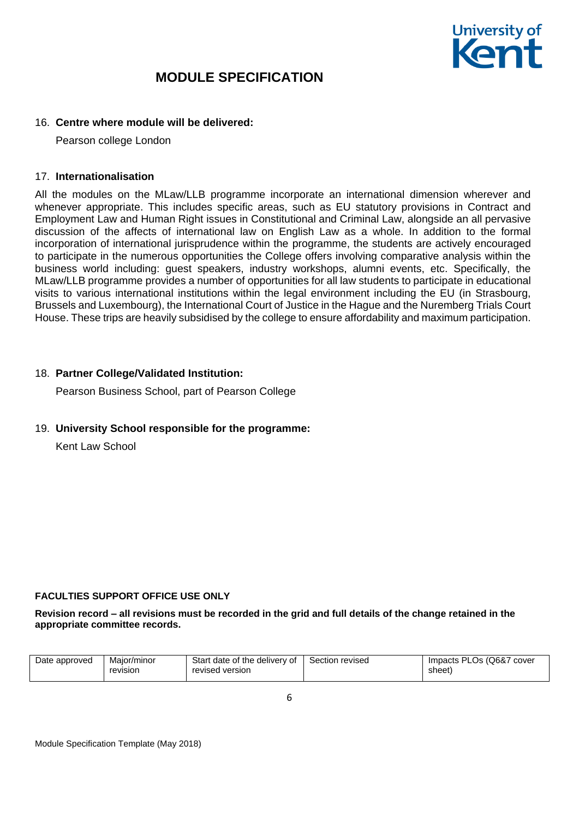

### 16. **Centre where module will be delivered:**

Pearson college London

#### 17. **Internationalisation**

All the modules on the MLaw/LLB programme incorporate an international dimension wherever and whenever appropriate. This includes specific areas, such as EU statutory provisions in Contract and Employment Law and Human Right issues in Constitutional and Criminal Law, alongside an all pervasive discussion of the affects of international law on English Law as a whole. In addition to the formal incorporation of international jurisprudence within the programme, the students are actively encouraged to participate in the numerous opportunities the College offers involving comparative analysis within the business world including: guest speakers, industry workshops, alumni events, etc. Specifically, the MLaw/LLB programme provides a number of opportunities for all law students to participate in educational visits to various international institutions within the legal environment including the EU (in Strasbourg, Brussels and Luxembourg), the International Court of Justice in the Hague and the Nuremberg Trials Court House. These trips are heavily subsidised by the college to ensure affordability and maximum participation.

### 18. **Partner College/Validated Institution:**

Pearson Business School, part of Pearson College

#### 19. **University School responsible for the programme:**

Kent Law School

#### **FACULTIES SUPPORT OFFICE USE ONLY**

#### **Revision record – all revisions must be recorded in the grid and full details of the change retained in the appropriate committee records.**

| Date approved<br>Maior/minor<br>revision | Start date of the delivery of<br>revised version | Section revised | Impacts PLOs (Q6&7<br>cover<br>sheet) |
|------------------------------------------|--------------------------------------------------|-----------------|---------------------------------------|
|------------------------------------------|--------------------------------------------------|-----------------|---------------------------------------|